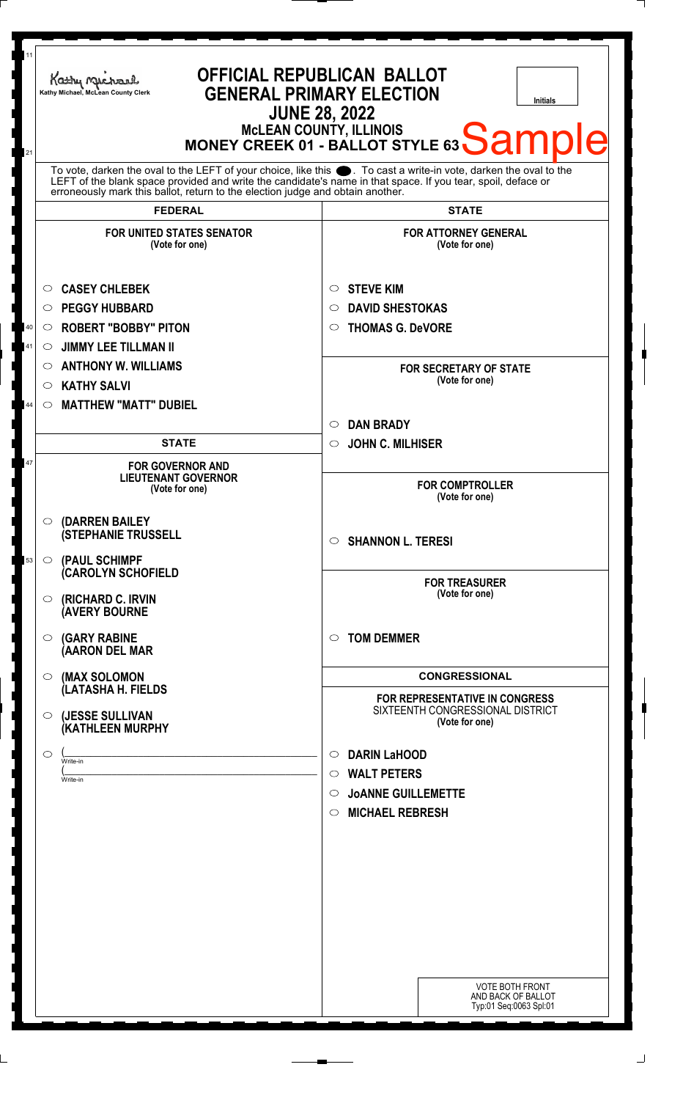| 11<br>21 | Kathy Michael<br>Kathy Michael, McLean County Clerk                                                                                                                                                                                                                                                                    | <b>OFFICIAL REPUBLICAN BALLOT</b><br><b>GENERAL PRIMARY ELECTION</b><br><b>Initials</b><br><b>JUNE 28, 2022</b><br>MCLEAN COUNTY, ILLINOIS<br>MONEY CREEK 01 - BALLOT STYLE 63 Sample |
|----------|------------------------------------------------------------------------------------------------------------------------------------------------------------------------------------------------------------------------------------------------------------------------------------------------------------------------|---------------------------------------------------------------------------------------------------------------------------------------------------------------------------------------|
|          | To vote, darken the oval to the LEFT of your choice, like this $\bullet$ . To cast a write-in vote, darken the oval to the LEFT of the blank space provided and write the candidate's name in that space. If you tear, spoil, deface<br>erroneously mark this ballot, return to the election judge and obtain another. |                                                                                                                                                                                       |
|          | <b>FEDERAL</b>                                                                                                                                                                                                                                                                                                         | <b>STATE</b>                                                                                                                                                                          |
|          | <b>FOR UNITED STATES SENATOR</b><br>(Vote for one)                                                                                                                                                                                                                                                                     | <b>FOR ATTORNEY GENERAL</b><br>(Vote for one)                                                                                                                                         |
|          | <b>CASEY CHLEBEK</b><br>$\circ$                                                                                                                                                                                                                                                                                        | <b>STEVE KIM</b><br>$\circ$                                                                                                                                                           |
|          | <b>PEGGY HUBBARD</b><br>$\circ$                                                                                                                                                                                                                                                                                        | <b>DAVID SHESTOKAS</b><br>○                                                                                                                                                           |
| 40       | <b>ROBERT "BOBBY" PITON</b><br>O                                                                                                                                                                                                                                                                                       | <b>THOMAS G. DeVORE</b><br>$\circ$                                                                                                                                                    |
| 41       | <b>JIMMY LEE TILLMAN II</b><br>O                                                                                                                                                                                                                                                                                       |                                                                                                                                                                                       |
|          | <b>ANTHONY W. WILLIAMS</b><br>$\circ$                                                                                                                                                                                                                                                                                  | <b>FOR SECRETARY OF STATE</b>                                                                                                                                                         |
|          | <b>KATHY SALVI</b><br>$\circ$                                                                                                                                                                                                                                                                                          | (Vote for one)                                                                                                                                                                        |
| 44       | <b>MATTHEW "MATT" DUBIEL</b><br>$\circ$                                                                                                                                                                                                                                                                                |                                                                                                                                                                                       |
|          |                                                                                                                                                                                                                                                                                                                        | <b>DAN BRADY</b><br>◯                                                                                                                                                                 |
|          | <b>STATE</b>                                                                                                                                                                                                                                                                                                           | <b>JOHN C. MILHISER</b><br>$\circ$                                                                                                                                                    |
| 47       | <b>FOR GOVERNOR AND</b><br><b>LIEUTENANT GOVERNOR</b><br>(Vote for one)                                                                                                                                                                                                                                                | <b>FOR COMPTROLLER</b><br>(Vote for one)                                                                                                                                              |
| 53       | $\circ$ (DARREN BAILEY<br><b>(STEPHANIE TRUSSELL</b><br>O (PAUL SCHIMPF                                                                                                                                                                                                                                                | $\circ$ SHANNON L. TERESI                                                                                                                                                             |
|          | <b>CAROLYN SCHOFIELD</b><br>(RICHARD C. IRVIN<br>O<br><b>(AVERY BOURNE</b>                                                                                                                                                                                                                                             | <b>FOR TREASURER</b><br>(Vote for one)                                                                                                                                                |
|          | <b>(GARY RABINE</b><br>$\circ$<br>(AARON DEL MAR                                                                                                                                                                                                                                                                       | <b>TOM DEMMER</b><br>$\bigcirc$                                                                                                                                                       |
|          | (MAX SOLOMON<br>$\circ$                                                                                                                                                                                                                                                                                                | <b>CONGRESSIONAL</b>                                                                                                                                                                  |
|          | (LATASHA H. FIELDS<br>(JESSE SULLIVAN<br>O<br>(KATHLEEN MURPHY                                                                                                                                                                                                                                                         | <b>FOR REPRESENTATIVE IN CONGRESS</b><br>SIXTEENTH CONGRESSIONAL DISTRICT<br>(Vote for one)                                                                                           |
|          | $\circ$                                                                                                                                                                                                                                                                                                                | <b>DARIN LaHOOD</b><br>$\circ$                                                                                                                                                        |
|          | Write-in                                                                                                                                                                                                                                                                                                               | <b>WALT PETERS</b><br>$\circ$                                                                                                                                                         |
|          | Write-in                                                                                                                                                                                                                                                                                                               | <b>JOANNE GUILLEMETTE</b><br>$\circ$                                                                                                                                                  |
|          |                                                                                                                                                                                                                                                                                                                        | <b>MICHAEL REBRESH</b><br>$\circ$                                                                                                                                                     |
|          |                                                                                                                                                                                                                                                                                                                        |                                                                                                                                                                                       |
|          |                                                                                                                                                                                                                                                                                                                        |                                                                                                                                                                                       |
|          |                                                                                                                                                                                                                                                                                                                        |                                                                                                                                                                                       |
|          |                                                                                                                                                                                                                                                                                                                        |                                                                                                                                                                                       |
|          |                                                                                                                                                                                                                                                                                                                        |                                                                                                                                                                                       |
|          |                                                                                                                                                                                                                                                                                                                        |                                                                                                                                                                                       |
|          |                                                                                                                                                                                                                                                                                                                        | <b>VOTE BOTH FRONT</b><br>AND BACK OF BALLOT<br>Typ:01 Seq:0063 Spl:01                                                                                                                |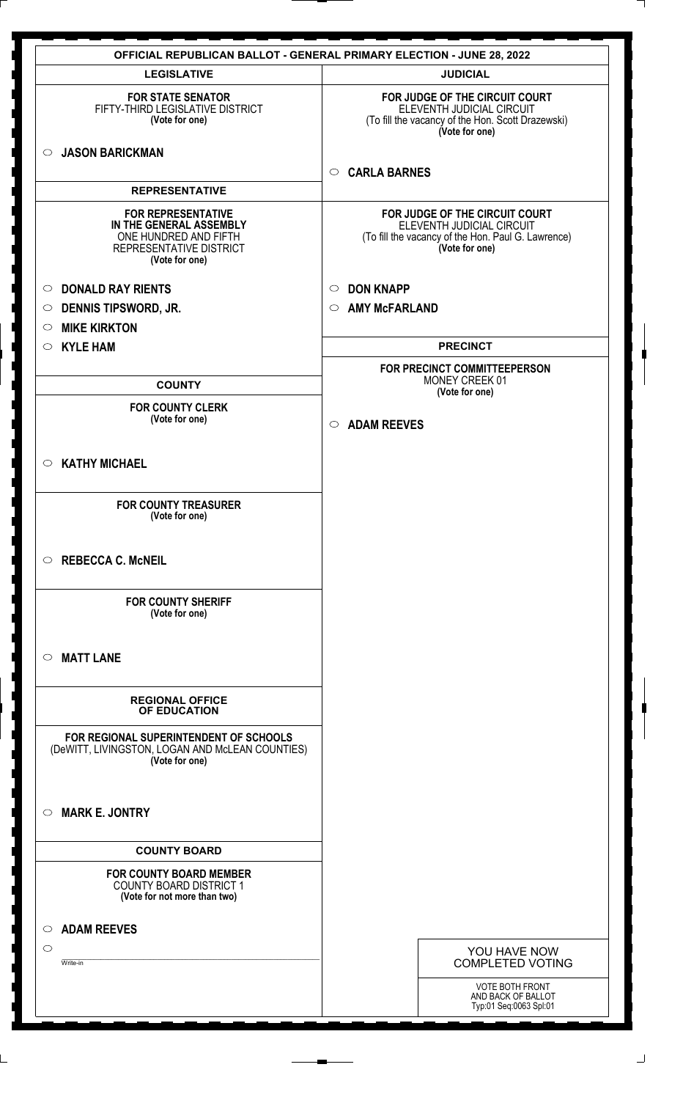|                                                                                                                            | <b>OFFICIAL REPUBLICAN BALLOT - GENERAL PRIMARY ELECTION - JUNE 28, 2022</b>                                                        |
|----------------------------------------------------------------------------------------------------------------------------|-------------------------------------------------------------------------------------------------------------------------------------|
| <b>LEGISLATIVE</b>                                                                                                         | <b>JUDICIAL</b>                                                                                                                     |
| <b>FOR STATE SENATOR</b><br>FIFTY-THIRD LEGISLATIVE DISTRICT<br>(Vote for one)                                             | FOR JUDGE OF THE CIRCUIT COURT<br>ELEVENTH JUDICIAL CIRCUIT<br>(To fill the vacancy of the Hon. Scott Drazewski)<br>(Vote for one)  |
| <b>JASON BARICKMAN</b><br>$\circ$                                                                                          | <b>CARLA BARNES</b><br>$\circ$                                                                                                      |
| <b>REPRESENTATIVE</b>                                                                                                      |                                                                                                                                     |
| <b>FOR REPRESENTATIVE</b><br>IN THE GENERAL ASSEMBLY<br>ONE HUNDRED AND FIFTH<br>REPRESENTATIVE DISTRICT<br>(Vote for one) | FOR JUDGE OF THE CIRCUIT COURT<br>ELEVENTH JUDICIAL CIRCUIT<br>(To fill the vacancy of the Hon. Paul G. Lawrence)<br>(Vote for one) |
| <b>DONALD RAY RIENTS</b><br>$\circ$                                                                                        | <b>DON KNAPP</b><br>$\circ$                                                                                                         |
| <b>DENNIS TIPSWORD, JR.</b><br>$\circ$                                                                                     | <b>AMY McFARLAND</b><br>$\circ$                                                                                                     |
| <b>MIKE KIRKTON</b><br>$\circ$                                                                                             |                                                                                                                                     |
| <b>KYLE HAM</b><br>$\circ$                                                                                                 | <b>PRECINCT</b>                                                                                                                     |
|                                                                                                                            | FOR PRECINCT COMMITTEEPERSON                                                                                                        |
| <b>COUNTY</b>                                                                                                              | MONEY CREEK 01                                                                                                                      |
| <b>FOR COUNTY CLERK</b>                                                                                                    | (Vote for one)                                                                                                                      |
| (Vote for one)                                                                                                             | $\circ$ ADAM REEVES                                                                                                                 |
| <b>KATHY MICHAEL</b><br>$\circ$                                                                                            |                                                                                                                                     |
| <b>FOR COUNTY TREASURER</b><br>(Vote for one)                                                                              |                                                                                                                                     |
| <b>REBECCA C. McNEIL</b><br>$\circ$                                                                                        |                                                                                                                                     |
| <b>FOR COUNTY SHERIFF</b><br>(Vote for one)                                                                                |                                                                                                                                     |
| <b>MATT LANE</b><br>$\circ$                                                                                                |                                                                                                                                     |
| <b>REGIONAL OFFICE</b><br>OF EDUCATION                                                                                     |                                                                                                                                     |
| FOR REGIONAL SUPERINTENDENT OF SCHOOLS<br>(DeWITT, LIVINGSTON, LOGAN AND McLEAN COUNTIES)<br>(Vote for one)                |                                                                                                                                     |
| <b>MARK E. JONTRY</b><br>$\circ$                                                                                           |                                                                                                                                     |
| <b>COUNTY BOARD</b>                                                                                                        |                                                                                                                                     |
| <b>FOR COUNTY BOARD MEMBER</b><br><b>COUNTY BOARD DISTRICT 1</b><br>(Vote for not more than two)                           |                                                                                                                                     |
| <b>ADAM REEVES</b><br>O                                                                                                    |                                                                                                                                     |
| $\circlearrowright$                                                                                                        |                                                                                                                                     |
| Write-in                                                                                                                   | YOU HAVE NOW<br><b>COMPLETED VOTING</b>                                                                                             |
|                                                                                                                            |                                                                                                                                     |
|                                                                                                                            | <b>VOTE BOTH FRONT</b><br>AND BACK OF BALLOT                                                                                        |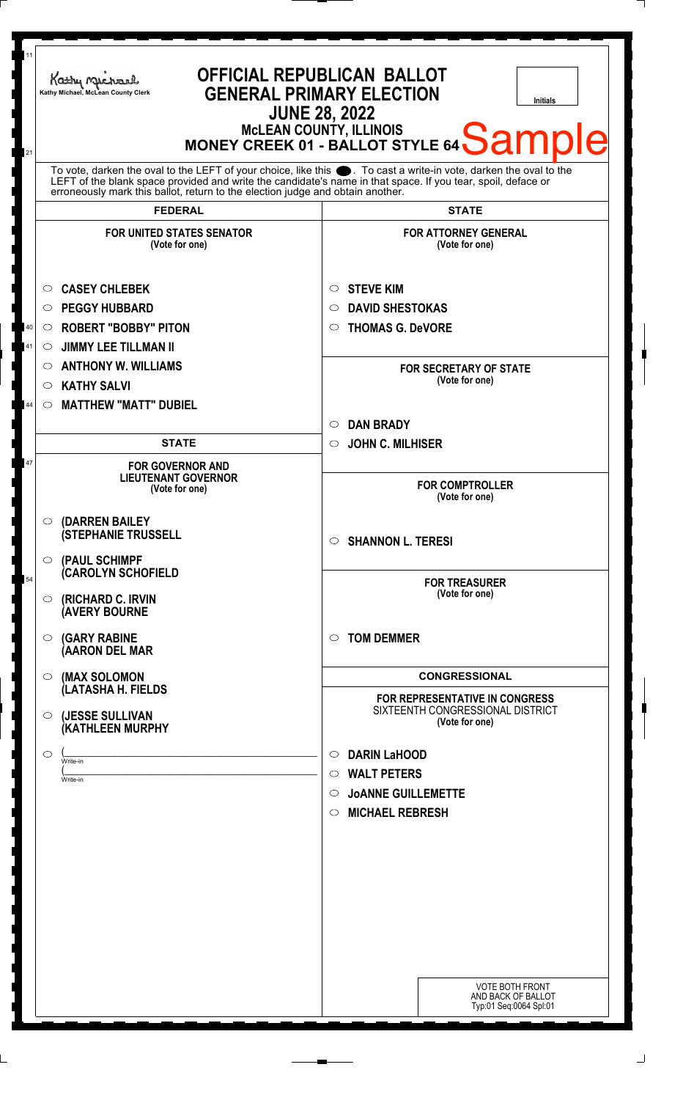| To vote, darken the oval to the LEFT of your choice, like this $\bullet$ . To cast a write-in vote, darken the oval to the LEFT of the blank space provided and write the candidate's name in that space. If you tear, spoil, deface<br>erroneously mark this ballot, return to the election judge and obtain another.<br><b>FEDERAL</b><br><b>STATE</b><br><b>FOR UNITED STATES SENATOR</b><br><b>FOR ATTORNEY GENERAL</b><br>(Vote for one)<br>(Vote for one)<br><b>CASEY CHLEBEK</b><br><b>STEVE KIM</b><br>$\circ$<br>O<br><b>PEGGY HUBBARD</b><br><b>DAVID SHESTOKAS</b><br>$\circ$<br>O<br><b>ROBERT "BOBBY" PITON</b><br><b>THOMAS G. DeVORE</b><br>40<br>$\circ$<br>$\circ$<br>41<br><b>JIMMY LEE TILLMAN II</b><br>$\circ$<br><b>ANTHONY W. WILLIAMS</b><br>$\circ$<br><b>FOR SECRETARY OF STATE</b><br>(Vote for one)<br><b>KATHY SALVI</b><br>$\circ$<br><b>MATTHEW "MATT" DUBIEL</b><br>44<br>$\circ$<br><b>DAN BRADY</b><br>$\circlearrowright$<br><b>JOHN C. MILHISER</b><br><b>STATE</b><br>$\circ$<br>47<br><b>FOR GOVERNOR AND</b><br><b>LIEUTENANT GOVERNOR</b><br><b>FOR COMPTROLLER</b><br>(Vote for one)<br>(Vote for one)<br>(DARREN BAILEY<br>$\circ$<br><b>(STEPHANIE TRUSSELL</b><br>$\circ$ SHANNON L. TERESI<br>$\circ$ (PAUL SCHIMPF<br><b>CAROLYN SCHOFIELD</b><br>54<br><b>FOR TREASURER</b><br>(Vote for one)<br>(RICHARD C. IRVIN<br>$\circ$<br><b>(AVERY BOURNE</b><br><b>TOM DEMMER</b><br><b>(GARY RABINE</b><br>$\circ$<br>$\circ$<br>(AARON DEL MAR<br><b>CONGRESSIONAL</b><br>(MAX SOLOMON<br>O.<br>(LATASHA H. FIELDS<br><b>FOR REPRESENTATIVE IN CONGRESS</b><br>SIXTEENTH CONGRESSIONAL DISTRICT<br>(JESSE SULLIVAN<br>$\circ$<br>(Vote for one)<br>(KATHLEEN MURPHY<br><b>DARIN LaHOOD</b><br>$\bigcirc$<br>$\circ$<br>Write-in<br><b>WALT PETERS</b><br>$\circ$<br>Write-in<br><b>JOANNE GUILLEMETTE</b><br>$\circ$<br><b>MICHAEL REBRESH</b><br>$\circ$ | 11<br><b>OFFICIAL REPUBLICAN BALLOT</b><br>Kathy Michael<br><b>GENERAL PRIMARY ELECTION</b><br>Kathy Michael, McLean County Clerk<br><b>Initials</b><br><b>JUNE 28, 2022</b><br>MCLEAN COUNTY, ILLINOIS<br>MONEY CREEK 01 - BALLOT STYLE 64 Sample<br>21 |  |
|-----------------------------------------------------------------------------------------------------------------------------------------------------------------------------------------------------------------------------------------------------------------------------------------------------------------------------------------------------------------------------------------------------------------------------------------------------------------------------------------------------------------------------------------------------------------------------------------------------------------------------------------------------------------------------------------------------------------------------------------------------------------------------------------------------------------------------------------------------------------------------------------------------------------------------------------------------------------------------------------------------------------------------------------------------------------------------------------------------------------------------------------------------------------------------------------------------------------------------------------------------------------------------------------------------------------------------------------------------------------------------------------------------------------------------------------------------------------------------------------------------------------------------------------------------------------------------------------------------------------------------------------------------------------------------------------------------------------------------------------------------------------------------------------------------------------------------------------------------------------------------------------------------|----------------------------------------------------------------------------------------------------------------------------------------------------------------------------------------------------------------------------------------------------------|--|
|                                                                                                                                                                                                                                                                                                                                                                                                                                                                                                                                                                                                                                                                                                                                                                                                                                                                                                                                                                                                                                                                                                                                                                                                                                                                                                                                                                                                                                                                                                                                                                                                                                                                                                                                                                                                                                                                                                     |                                                                                                                                                                                                                                                          |  |
|                                                                                                                                                                                                                                                                                                                                                                                                                                                                                                                                                                                                                                                                                                                                                                                                                                                                                                                                                                                                                                                                                                                                                                                                                                                                                                                                                                                                                                                                                                                                                                                                                                                                                                                                                                                                                                                                                                     |                                                                                                                                                                                                                                                          |  |
|                                                                                                                                                                                                                                                                                                                                                                                                                                                                                                                                                                                                                                                                                                                                                                                                                                                                                                                                                                                                                                                                                                                                                                                                                                                                                                                                                                                                                                                                                                                                                                                                                                                                                                                                                                                                                                                                                                     |                                                                                                                                                                                                                                                          |  |
|                                                                                                                                                                                                                                                                                                                                                                                                                                                                                                                                                                                                                                                                                                                                                                                                                                                                                                                                                                                                                                                                                                                                                                                                                                                                                                                                                                                                                                                                                                                                                                                                                                                                                                                                                                                                                                                                                                     |                                                                                                                                                                                                                                                          |  |
|                                                                                                                                                                                                                                                                                                                                                                                                                                                                                                                                                                                                                                                                                                                                                                                                                                                                                                                                                                                                                                                                                                                                                                                                                                                                                                                                                                                                                                                                                                                                                                                                                                                                                                                                                                                                                                                                                                     |                                                                                                                                                                                                                                                          |  |
|                                                                                                                                                                                                                                                                                                                                                                                                                                                                                                                                                                                                                                                                                                                                                                                                                                                                                                                                                                                                                                                                                                                                                                                                                                                                                                                                                                                                                                                                                                                                                                                                                                                                                                                                                                                                                                                                                                     |                                                                                                                                                                                                                                                          |  |
|                                                                                                                                                                                                                                                                                                                                                                                                                                                                                                                                                                                                                                                                                                                                                                                                                                                                                                                                                                                                                                                                                                                                                                                                                                                                                                                                                                                                                                                                                                                                                                                                                                                                                                                                                                                                                                                                                                     |                                                                                                                                                                                                                                                          |  |
|                                                                                                                                                                                                                                                                                                                                                                                                                                                                                                                                                                                                                                                                                                                                                                                                                                                                                                                                                                                                                                                                                                                                                                                                                                                                                                                                                                                                                                                                                                                                                                                                                                                                                                                                                                                                                                                                                                     |                                                                                                                                                                                                                                                          |  |
|                                                                                                                                                                                                                                                                                                                                                                                                                                                                                                                                                                                                                                                                                                                                                                                                                                                                                                                                                                                                                                                                                                                                                                                                                                                                                                                                                                                                                                                                                                                                                                                                                                                                                                                                                                                                                                                                                                     |                                                                                                                                                                                                                                                          |  |
|                                                                                                                                                                                                                                                                                                                                                                                                                                                                                                                                                                                                                                                                                                                                                                                                                                                                                                                                                                                                                                                                                                                                                                                                                                                                                                                                                                                                                                                                                                                                                                                                                                                                                                                                                                                                                                                                                                     |                                                                                                                                                                                                                                                          |  |
|                                                                                                                                                                                                                                                                                                                                                                                                                                                                                                                                                                                                                                                                                                                                                                                                                                                                                                                                                                                                                                                                                                                                                                                                                                                                                                                                                                                                                                                                                                                                                                                                                                                                                                                                                                                                                                                                                                     |                                                                                                                                                                                                                                                          |  |
|                                                                                                                                                                                                                                                                                                                                                                                                                                                                                                                                                                                                                                                                                                                                                                                                                                                                                                                                                                                                                                                                                                                                                                                                                                                                                                                                                                                                                                                                                                                                                                                                                                                                                                                                                                                                                                                                                                     |                                                                                                                                                                                                                                                          |  |
|                                                                                                                                                                                                                                                                                                                                                                                                                                                                                                                                                                                                                                                                                                                                                                                                                                                                                                                                                                                                                                                                                                                                                                                                                                                                                                                                                                                                                                                                                                                                                                                                                                                                                                                                                                                                                                                                                                     |                                                                                                                                                                                                                                                          |  |
|                                                                                                                                                                                                                                                                                                                                                                                                                                                                                                                                                                                                                                                                                                                                                                                                                                                                                                                                                                                                                                                                                                                                                                                                                                                                                                                                                                                                                                                                                                                                                                                                                                                                                                                                                                                                                                                                                                     |                                                                                                                                                                                                                                                          |  |
|                                                                                                                                                                                                                                                                                                                                                                                                                                                                                                                                                                                                                                                                                                                                                                                                                                                                                                                                                                                                                                                                                                                                                                                                                                                                                                                                                                                                                                                                                                                                                                                                                                                                                                                                                                                                                                                                                                     |                                                                                                                                                                                                                                                          |  |
|                                                                                                                                                                                                                                                                                                                                                                                                                                                                                                                                                                                                                                                                                                                                                                                                                                                                                                                                                                                                                                                                                                                                                                                                                                                                                                                                                                                                                                                                                                                                                                                                                                                                                                                                                                                                                                                                                                     |                                                                                                                                                                                                                                                          |  |
|                                                                                                                                                                                                                                                                                                                                                                                                                                                                                                                                                                                                                                                                                                                                                                                                                                                                                                                                                                                                                                                                                                                                                                                                                                                                                                                                                                                                                                                                                                                                                                                                                                                                                                                                                                                                                                                                                                     |                                                                                                                                                                                                                                                          |  |
|                                                                                                                                                                                                                                                                                                                                                                                                                                                                                                                                                                                                                                                                                                                                                                                                                                                                                                                                                                                                                                                                                                                                                                                                                                                                                                                                                                                                                                                                                                                                                                                                                                                                                                                                                                                                                                                                                                     |                                                                                                                                                                                                                                                          |  |
|                                                                                                                                                                                                                                                                                                                                                                                                                                                                                                                                                                                                                                                                                                                                                                                                                                                                                                                                                                                                                                                                                                                                                                                                                                                                                                                                                                                                                                                                                                                                                                                                                                                                                                                                                                                                                                                                                                     |                                                                                                                                                                                                                                                          |  |
|                                                                                                                                                                                                                                                                                                                                                                                                                                                                                                                                                                                                                                                                                                                                                                                                                                                                                                                                                                                                                                                                                                                                                                                                                                                                                                                                                                                                                                                                                                                                                                                                                                                                                                                                                                                                                                                                                                     |                                                                                                                                                                                                                                                          |  |
|                                                                                                                                                                                                                                                                                                                                                                                                                                                                                                                                                                                                                                                                                                                                                                                                                                                                                                                                                                                                                                                                                                                                                                                                                                                                                                                                                                                                                                                                                                                                                                                                                                                                                                                                                                                                                                                                                                     |                                                                                                                                                                                                                                                          |  |
|                                                                                                                                                                                                                                                                                                                                                                                                                                                                                                                                                                                                                                                                                                                                                                                                                                                                                                                                                                                                                                                                                                                                                                                                                                                                                                                                                                                                                                                                                                                                                                                                                                                                                                                                                                                                                                                                                                     |                                                                                                                                                                                                                                                          |  |
|                                                                                                                                                                                                                                                                                                                                                                                                                                                                                                                                                                                                                                                                                                                                                                                                                                                                                                                                                                                                                                                                                                                                                                                                                                                                                                                                                                                                                                                                                                                                                                                                                                                                                                                                                                                                                                                                                                     |                                                                                                                                                                                                                                                          |  |
|                                                                                                                                                                                                                                                                                                                                                                                                                                                                                                                                                                                                                                                                                                                                                                                                                                                                                                                                                                                                                                                                                                                                                                                                                                                                                                                                                                                                                                                                                                                                                                                                                                                                                                                                                                                                                                                                                                     |                                                                                                                                                                                                                                                          |  |
|                                                                                                                                                                                                                                                                                                                                                                                                                                                                                                                                                                                                                                                                                                                                                                                                                                                                                                                                                                                                                                                                                                                                                                                                                                                                                                                                                                                                                                                                                                                                                                                                                                                                                                                                                                                                                                                                                                     |                                                                                                                                                                                                                                                          |  |
|                                                                                                                                                                                                                                                                                                                                                                                                                                                                                                                                                                                                                                                                                                                                                                                                                                                                                                                                                                                                                                                                                                                                                                                                                                                                                                                                                                                                                                                                                                                                                                                                                                                                                                                                                                                                                                                                                                     |                                                                                                                                                                                                                                                          |  |
|                                                                                                                                                                                                                                                                                                                                                                                                                                                                                                                                                                                                                                                                                                                                                                                                                                                                                                                                                                                                                                                                                                                                                                                                                                                                                                                                                                                                                                                                                                                                                                                                                                                                                                                                                                                                                                                                                                     |                                                                                                                                                                                                                                                          |  |
|                                                                                                                                                                                                                                                                                                                                                                                                                                                                                                                                                                                                                                                                                                                                                                                                                                                                                                                                                                                                                                                                                                                                                                                                                                                                                                                                                                                                                                                                                                                                                                                                                                                                                                                                                                                                                                                                                                     |                                                                                                                                                                                                                                                          |  |
|                                                                                                                                                                                                                                                                                                                                                                                                                                                                                                                                                                                                                                                                                                                                                                                                                                                                                                                                                                                                                                                                                                                                                                                                                                                                                                                                                                                                                                                                                                                                                                                                                                                                                                                                                                                                                                                                                                     |                                                                                                                                                                                                                                                          |  |
|                                                                                                                                                                                                                                                                                                                                                                                                                                                                                                                                                                                                                                                                                                                                                                                                                                                                                                                                                                                                                                                                                                                                                                                                                                                                                                                                                                                                                                                                                                                                                                                                                                                                                                                                                                                                                                                                                                     |                                                                                                                                                                                                                                                          |  |
|                                                                                                                                                                                                                                                                                                                                                                                                                                                                                                                                                                                                                                                                                                                                                                                                                                                                                                                                                                                                                                                                                                                                                                                                                                                                                                                                                                                                                                                                                                                                                                                                                                                                                                                                                                                                                                                                                                     | <b>VOTE BOTH FRONT</b><br>AND BACK OF BALLOT                                                                                                                                                                                                             |  |
|                                                                                                                                                                                                                                                                                                                                                                                                                                                                                                                                                                                                                                                                                                                                                                                                                                                                                                                                                                                                                                                                                                                                                                                                                                                                                                                                                                                                                                                                                                                                                                                                                                                                                                                                                                                                                                                                                                     | Typ:01 Seq:0064 Spl:01                                                                                                                                                                                                                                   |  |